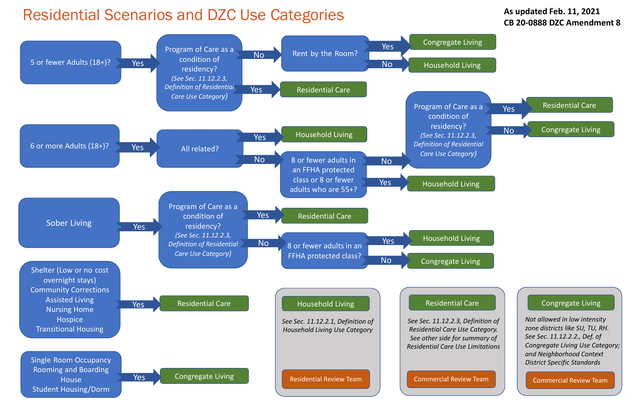